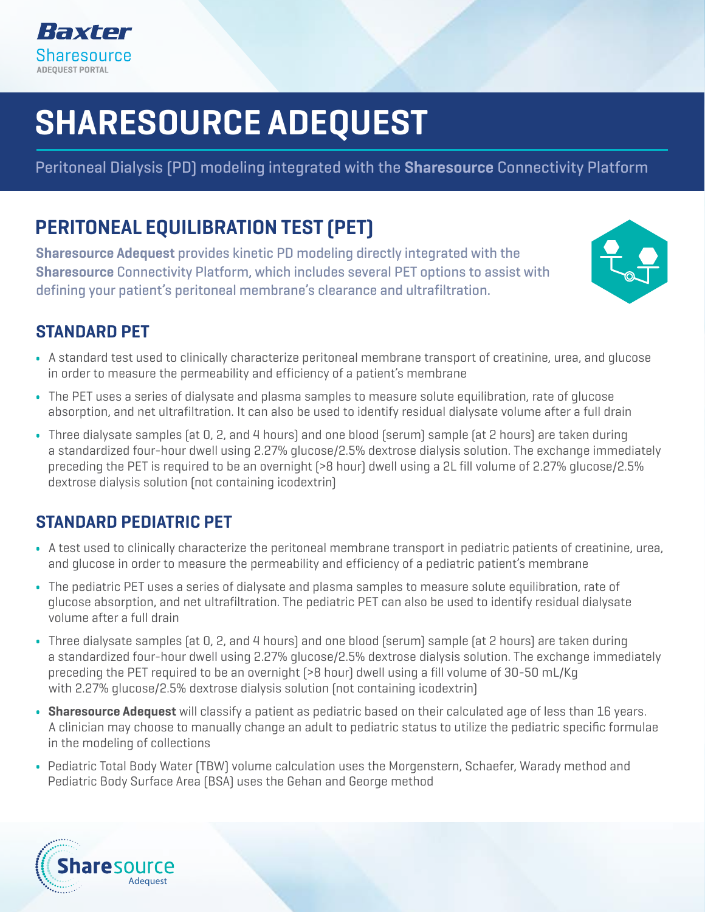

### and specifically indicated to assist in the diagnosis of ultrafiltration failure SHARESOURCE ADEQUEST ENTRANDARD PET, and • Also, an additional dialysate sample is taken at 1 hour

Deritoneel Dielveje (DD) medeling integrated with the **Sharesoures** Peritoneal Dialysis (PD) modeling integrated with the **Sharesource** Connectivity Platform

#### **DEDITON** PERITONEAL EQUILIBRATION TEST (PET)

 $\mathbf{A}$  simplified version of the standard PET used to clinically characterize peritoneal membrane transportation  $\mathbf{A}$ **Sharesource Adequest** provides kinetic PD modeling directly integrated with the Sharesource Connectivity Platform, which includes several PET options to assist with<br>The function of the function of the functions of the functions of the functions of the functions of the functio  $\mathbf{F}$  is not intended as a replacement for a standard PET, but as a follow-up in response  $\mathbf{F}$ defining your patient's peritoneal membrane's clearance and ultrafiltration.



#### $\tau_{\rm c}$ • Only one dialysate and one blood sample (at 4 hours) are required; otherwise, the fast PET follows STANDARD PET

- A standard test used to clinically characterize peritoneal membrane transport of creatinine, urea, and glucose in order to measure the permeability and efficiency of a patient's membrane
- $\bullet~$  The PET uses a series of dialysate and plasma samples to measure solute equilibration, rate of glucose absorption, and net ultrafiltration. It can also be used to identify residual dialysate volume after a full drain
- $\sim$  A simple and fast method to assess free water transport in order to assess loss of periodic periodic periodic  $\sim$ • Three dialysate samples (at 0, 2, and 4 hours) and one blood (serum) sample (at 2 hours) are taken during • Mini PET consists of a 1-hour dwell using 2L of 3.86% glucose/4.25% dextrose dialysis solution preceding the PET is required to be an overnight (>8 hour) dwell using a 2L fill volume of 2.27% glucose/2.5% dextrose dialysis solution (not containing icodextrin) a standardized four-hour dwell using 2.27% glucose/2.5% dextrose dialysis solution. The exchange immediately

# $\begin{array}{l} \textbf{STANDARD PEDIATRIC PET} \end{array}$

- function) and sodium sieving, and is not considered a substitute for a standard/modified PET • A test used to clinically characterize the peritoneal membrane transport in pediatric patients of creatinine, urea, and glucose in order to measure the permeability and efficiency of a pediatric patient's membrane
- The pediatric PET uses a series of dialysate and plasma samples to measure solute equilibration, rate of glucose absorption, and net ultrafiltration. The pediatric PET can also be used to identify residual dialysate volume after a full drained had the protocol between  $\mathcal{L}$  followed,  $\mathcal{L}$  followed,  $\mathcal{L}$
- Three dialysate samples (at 0, 2, and 4 hours) and one blood (serum) sample (at 2 hours) are taken during a standardized four-hour dwell using 2.27% glucose/2.5% dextrose dialysis solution. The exchange immediately preceding the PET required to be an overnight (>8 hour) dwell using a fill volume of 30-50 mL/Kg with 2.27% glucose/2.5% dextrose dialysis solution (not containing icodextrin)
- A clinician may choose to manually change an adult to pediatric status to utilize the pediatric specific formulae in the modeling of collections and a series of the series of the series of the series of the series of the ser • Sharesource Adequest will classify a patient as pediatric based on their calculated age of less than 16 years.
- Pediatric Total Body Water (TBW) volume calculation uses the Morgenstern, Schaefer, Warady method and Pediatric Body Surface Area (BSA) uses the Gehan and George method The Sharesource portal is intended for use by healthcare professionals to remotely communicate new or modified treatment parameters with compatible dialysis instruments and treatments and transferred treatments and transf